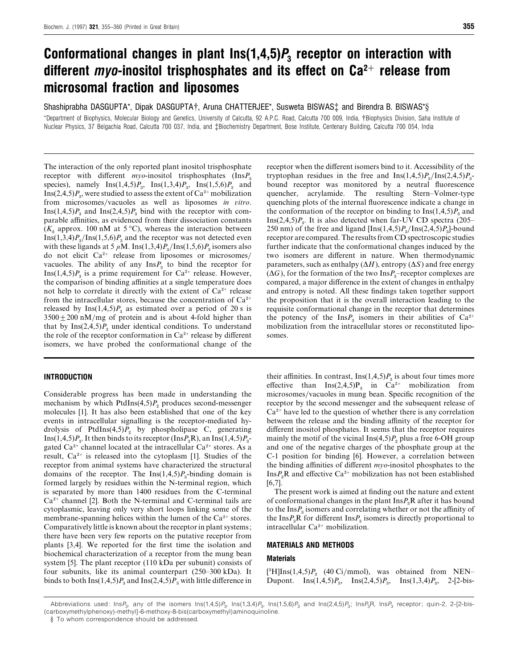# *Conformational changes in plant Ins(1,4,5)P<sup>3</sup> receptor on interaction with different myo-inositol trisphosphates and its effect on Ca2*+ *release from microsomal fraction and liposomes*

Shashiprabha DASGUPTA\*, Dipak DASGUPTA†, Aruna CHATTERJEE\*, Susweta BISWAS‡ and Birendra B. BISWAS\*§

\*Department of Biophysics, Molecular Biology and Genetics, University of Calcutta, 92 A.P.C. Road, Calcutta 700 009, India, †Biophysics Division, Saha Institute of Nuclear Physics, 37 Belgachia Road, Calcutta 700 037, India, and ‡Biochemistry Department, Bose Institute, Centenary Building, Calcutta 700 054, India

The interaction of the only reported plant inositol trisphosphate receptor with different *myo*-inositol trisphosphates (InsP<sub>3</sub> species), namely  $\text{Ins}(1,4,5)P_3$ ,  $\text{Ins}(1,3,4)P_3$ ,  $\text{Ins}(1,5,6)P_3$  and species), namely  $\text{ins}(1,4,3)P_3$ ,  $\text{ins}(1,3,4)P_3$ ,  $\text{ins}(1,3,6)P_3$  and  $\text{Ins}(2,4,5)P_3$ , were studied to assess the extent of  $\text{Ca}^{2+}$  mobilization from microsomes}vacuoles as well as liposomes *in itro*. Ins(1,4,5) $P_3$  and Ins(2,4,5) $P_3$  bind with the receptor with comparable affinities, as evidenced from their dissociation constants  $(K<sub>d</sub>$  approx. 100 nM at 5 °C), whereas the interaction between Ins(1,3,4) $P_3$ /Ins(1,5,6) $P_3$  and the receptor was not detected even with these ligands at 5  $\mu$ M. Ins(1,3,4) $P_{3}/\text{Ins}(1,5,6)P_{3}$  isomers also with these figands at 5  $\mu$ M. Ins(1,5,4) $P_3$ /Ins(1,5,0) $P_3$  isomers also<br>do not elicit Ca<sup>2+</sup> release from liposomes or microsomes/ vacuoles. The ability of any  $\text{Ins}P_3$  to bind the receptor for vacuoies. The ability of any  $\text{ins}F_3$  to bind the receptor for  $\text{Ins}(1,4,5)P_3$  is a prime requirement for  $\text{Ca}^{2+}$  release. However, the comparison of binding affinities at a single temperature does not help to correlate it directly with the extent of  $Ca^{2+}$  release from the intracellular stores, because the concentration of  $Ca^{2+}$ released by  $\text{Ins}(1,4,5)P_3$  as estimated over a period of 20 s is  $3500 \pm 200$  nM/mg of protein and is about 4-fold higher than that by  $\text{Ins}(2,4,5)P_3$  under identical conditions. To understand the role of the receptor conformation in  $Ca^{2+}$  release by different isomers, we have probed the conformational change of the

## *INTRODUCTION*

Considerable progress has been made in understanding the mechanism by which  $PtdIns(4,5)P_2$  produces second-messenger molecules [1]. It has also been established that one of the key events in intracellular signalling is the receptor-mediated hydrolysis of PtdIns $(4,5)P_2$  by phospholipase C, generating Ins(1,4,5) $P_3$ . It then binds to its receptor (Ins $P_3$ R), an Ins(1,4,5) $P_3$ rins(1,4,*5)* $r_3$ . It then binds to its receptor ( $\text{ins}(r_3\mathbf{K})$ , an  $\text{ins}(1,4,5)$  $r_3$ -<br>gated Ca<sup>2+</sup> channel located at the intracellular Ca<sup>2+</sup> stores. As a result,  $Ca^{2+}$  is released into the cytoplasm [1]. Studies of the receptor from animal systems have characterized the structural domains of the receptor. The  $Ins(1,4,5)P_3$ -binding domain is formed largely by residues within the N-terminal region, which is separated by more than 1400 residues from the C-terminal  $Ca<sup>2+</sup>$  channel [2]. Both the N-terminal and C-terminal tails are cytoplasmic, leaving only very short loops linking some of the membrane-spanning helices within the lumen of the  $Ca^{2+}$  stores. Comparatively little is known about the receptor in plant systems; there have been very few reports on the putative receptor from plants [3,4]. We reported for the first time the isolation and biochemical characterization of a receptor from the mung bean system [5]. The plant receptor (110 kDa per subunit) consists of four subunits, like its animal counterpart (250–300 kDa). It binds to both Ins(1,4,5) $P_3$  and Ins(2,4,5) $P_3$  with little difference in

receptor when the different isomers bind to it. Accessibility of the tryptophan residues in the free and  $\text{Ins}(1,4,5)P_{3}/\text{Ins}(2,4,5)P_{3}$ - bound receptor was monitored by a neutral fluorescence quencher, acrylamide. The resulting Stern–Volmer-type quenching plots of the internal fluorescence indicate a change in the conformation of the receptor on binding to  $\text{Ins}(1,4,5)P_3$  and Ins $(2,4,5)P_3$ . It is also detected when far-UV CD spectra  $(205-$ 250 nm) of the free and ligand  $[Ins(1,4,5)P_3/Ins(2,4,5)P_3]$ -bound receptor are compared. The results from CD spectroscopic studies further indicate that the conformational changes induced by the two isomers are different in nature. When thermodynamic parameters, such as enthalpy (∆*H*), entropy (∆*S*) and free energy  $(\Delta G)$ , for the formation of the two Ins $P_3$ –receptor complexes are compared, a major difference in the extent of changes in enthalpy and entropy is noted. All these findings taken together support the proposition that it is the overall interaction leading to the requisite conformational change in the receptor that determines requisite conformational change in the receptor that determines<br>the potency of the  $\text{Ins}P_3$  isomers in their abilities of  $\text{Ca}^{2+}$ mobilization from the intracellular stores or reconstituted liposomes.

their affinities. In contrast,  $\text{Ins}(1,4,5)P_3$  is about four times more effective than  $Ins(2,4,5)P_3$  in  $Ca^{2+}$  mobilization from microsomes}vacuoles in mung bean. Specific recognition of the receptor by the second messenger and the subsequent release of  $Ca<sup>2+</sup>$  have led to the question of whether there is any correlation between the release and the binding affinity of the receptor for different inositol phosphates. It seems that the receptor requires mainly the motif of the vicinal  $\text{Ins}(4,5)P_2$  plus a free 6-OH group and one of the negative charges of the phosphate group at the C-1 position for binding [6]. However, a correlation between the binding affinities of different *myo*-inositol phosphates to the Ins $P_{\rm a}$ R and effective Ca<sup>2+</sup> mobilization has not been established [6,7].

The present work is aimed at finding out the nature and extent of conformational changes in the plant  $\text{Ins} P_{\text{s}} R$  after it has bound to the Ins $P_3$  isomers and correlating whether or not the affinity of the Ins $P_3$ R for different Ins $P_3$  isomers is directly proportional to the  $insr_3$ **R** for different  $insr_3$  is<br>intracellular  $Ca^{2+}$  mobilization.

### *MATERIALS AND METHODS*

# *Materials*

 $[$ <sup>3</sup>H]Ins(1,4,5) $P_3$  (40 Ci/mmol), was obtained from NEN– Dupont. Ins(1,4,5) $P_3$ , Ins(2,4,5) $P_3$ , Ins(1,3,4) $P_3$ , 2-[2-bis-

Abbreviations used: Ins $P_3$ , any of the isomers  $\text{Ins}(1,4,5)P_3$ ,  $\text{Ins}(1,3,4)P_3$ ,  $\text{Ins}(1,5,6)P_3$  and  $\text{Ins}(2,4,5)P_3$ ;  $\text{Ins}P_3$ ,  $\text{Ins}P_3$  receptor; quin-2, 2-[2-bis-(carboxymethylphenoxy)-methyl]-6-methoxy-8-bis(carboxymethyl)aminoquinoline.

<sup>§</sup> To whom correspondence should be addressed.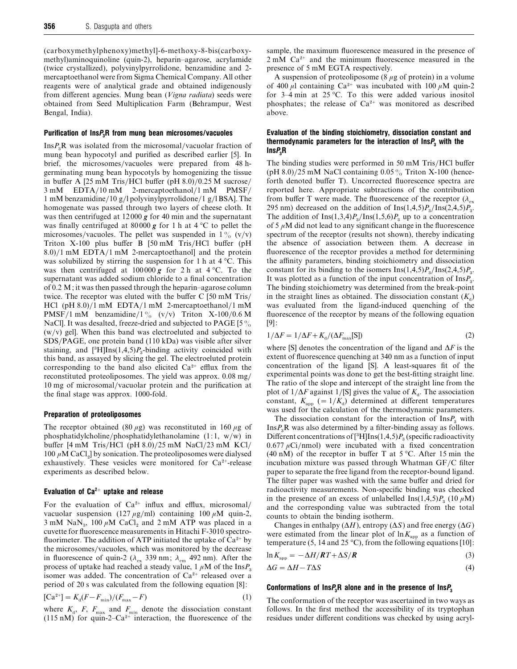(carboxymethylphenoxy)methyl]-6-methoxy-8-bis(carboxymethyl)aminoquinoline (quin-2), heparin–agarose, acrylamide (twice crystallized), polyvinylpyrrolidone, benzamidine and 2 mercaptoethanol were from Sigma Chemical Company. All other reagents were of analytical grade and obtained indigenously from different agencies. Mung bean (*Vigna radiata*) seeds were obtained from Seed Multiplication Farm (Behrampur, West Bengal, India).

#### *Purification of InsP3R from mung bean microsomes/vacuoles*

 $\text{Ins}P_{\text{B}}\text{R}$  was isolated from the microsomal/vacuolar fraction of mung bean hypocotyl and purified as described earlier [5]. In brief, the microsomes/vacuoles were prepared from 48 hgerminating mung bean hypocotyls by homogenizing the tissue in buffer A  $[25 \text{ mM Tris/HCl}$  buffer (pH 8.0)/0.25 M sucrose/ 3 mM EDTA/10 mM 2-mercaptoethanol/1 mM PMSF/ 1 mM benzamidine/10 g/l polyvinylpyrrolidone/1 g/l BSA]. The homogenate was passed through two layers of cheese cloth. It was then centrifuged at 12000 *g* for 40 min and the supernatant was finally centrifuged at  $80000 g$  for 1 h at  $4^{\circ}$ C to pellet the microsomes/vacuoles. The pellet was suspended in  $1\%$  (v/v) Triton X-100 plus buffer B [50 mM Tris/HCl buffer (pH  $8.0$ /1 mM EDTA/1 mM 2-mercaptoethanol and the protein was solubilized by stirring the suspension for 1 h at 4 °C. This was then centrifuged at  $100000 g$  for 2 h at  $4 °C$ . To the supernatant was added sodium chloride to a final concentration of 0.2 M; it was then passed through the heparin–agarose column twice. The receptor was eluted with the buffer C [50 mM Tris/ HCl (pH  $8.0$ )/1 mM EDTA/1 mM 2-mercaptoethanol/1 mM PMSF/1 mM benzamidine/1% (v/v) Triton X-100/0.6 M NaCl]. It was desalted, freeze-dried and subjected to PAGE [5%]  $(w/v)$  gel]. When this band was electroeluted and subjected to SDS}PAGE, one protein band (110 kDa) was visible after silver  $sDS/FAGE$ , one protein band (110 KDa) was visible after silver staining, and  $[^3H]$ Ins(1,4,5)*P*<sub>3</sub>-binding activity coincided with this band, as assayed by slicing the gel. The electroeluted protein corresponding to the band also elicited  $Ca^{2+}$  efflux from the reconstituted proteoliposomes. The yield was approx. 0.08 mg/ 10 mg of microsomal}vacuolar protein and the purification at the final stage was approx. 1000-fold.

#### *Preparation of proteoliposomes*

The receptor obtained (80  $\mu$ g) was reconstituted in 160  $\mu$ g of phosphatidylcholine/phosphatidylethanolamine  $(1:1, w/w)$  in buffer  $[4 \text{ mM Tris/HCl (pH 8.0)/25 mM NaCl}/23 \text{ mM KCl}$ 100  $\mu$ M CaCl<sub>2</sub>] by sonication. The proteoliposomes were dialysed FOU  $\mu$ M CaC<sub>1<sub>2</sub>] by sonication. The protection positively exhaustively. These vesicles were monitored for Ca<sup>2+</sup>-release</sub> experiments as described below.

# *Evaluation of Ca2*+ *uptake and release*

For the evaluation of  $Ca^{2+}$  influx and efflux, microsomal/ vacuolar suspension (127  $\mu$ g/ml) containing 100  $\mu$ M quin-2,  $3 \text{ mM }$  NaN<sub>3</sub>, 100  $\mu$ M CaCl<sub>2</sub> and 2 mM ATP was placed in a cuvette for fluorescence measurements in Hitachi F-3010 spectrofluorimeter. The addition of ATP initiated the uptake of  $Ca^{2+}$  by the microsomes/vacuoles, which was monitored by the decrease in fluorescence of quin-2 ( $\lambda_{\text{ex}}$  339 nm;  $\lambda_{\text{em}}$  492 nm). After the process of uptake had reached a steady value,  $1 \mu M$  of the Ins $P_{\text{s}}$ isomer was added. The concentration of  $Ca^{2+}$  released over a period of 20 s was calculated from the following equation [8]:

$$
[Ca^{2+}] = K_d(F - F_{min})/(F_{max} - F)
$$
 (1)

where  $K_{\rm d}$ , *F*,  $F_{\rm max}$  and  $F_{\rm min}$  denote the dissociation constant (115 nM) for quin-2–Ca<sup>2+</sup> interaction, the fluorescence of the

sample, the maximum fluorescence measured in the presence of  $2 \text{ mM } Ca^{2+}$  and the minimum fluorescence measured in the presence of 5 mM EGTA respectively.

A suspension of proteoliposome (8  $\mu$ g of protein) in a volume of 400  $\mu$ l containing Ca<sup>2+</sup> was incubated with 100  $\mu$ M quin-2 for 3–4 min at 25 °C. To this were added various inositol phosphates; the release of  $Ca^{2+}$  was monitored as described above.

## *Evaluation of the binding stoichiometry, dissociation constant and thermodynamic parameters for the interaction of InsP<sup>3</sup> with the InsP3R*

The binding studies were performed in 50 mM Tris/HCl buffer (pH 8.0)/25 mM NaCl containing 0.05% Triton X-100 (henceforth denoted buffer T). Uncorrected fluorescence spectra are reported here. Appropriate subtractions of the contribution from buffer T were made. The fluorescence of the receptor  $(\lambda_{\text{ex}} 295 \text{ nm})$  decreased on the addition of Ins(1,4,5)*P*<sub>3</sub>/Ins(2,4,5)*P*<sub>3</sub>. The addition of Ins(1,3,4) $P_3$ /Ins(1,5,6) $P_3$  up to a concentration of 5  $\mu$ M did not lead to any significant change in the fluorescence spectrum of the receptor (results not shown), thereby indicating the absence of association between them. A decrease in fluorescence of the receptor provides a method for determining the affinity parameters, binding stoichiometry and dissociation constant for its binding to the isomers  $\text{Ins}(1,4,5)P_{\text{s}}/\text{Ins}(2,4,5)P_{\text{s}}$ . It was plotted as a function of the input concentration of  $\text{Ins}_3$ . The binding stoichiometry was determined from the break-point in the straight lines as obtained. The dissociation constant  $(K_d)$ was evaluated from the ligand-induced quenching of the fluorescence of the receptor by means of the following equation [9]:

$$
1/\Delta F = 1/\Delta F + K_d/(\Delta F_{\text{max}}[S])
$$
\n(2)

where [S] denotes the concentration of the ligand and ∆*F* is the extent of fluorescence quenching at 340 nm as a function of input concentration of the ligand [S]. A least-squares fit of the experimental points was done to get the best-fitting straight line. The ratio of the slope and intercept of the straight line from the plot of  $1/\Delta F$  against 1/[S] gives the value of  $K_d$ . The association constant,  $K_{\text{app}}$  (= 1/ $K_{\text{d}}$ ) determined at different temperatures was used for the calculation of the thermodynamic parameters.

The dissociation constant for the interaction of  $\text{Ins}P_3$  with  $\text{Ins}P_{\text{B}}\text{R}$  was also determined by a filter-binding assay as follows.  $\text{Fis}$  F was also determined by a litter-binding assay as follows.<br>Different concentrations of [<sup>3</sup>H]Ins(1,4,5)*P*<sub>3</sub> (specific radioactivity 0.677  $\mu$ Ci/nmol) were incubated with a fixed concentration (40 nM) of the receptor in buffer T at  $5^{\circ}$ C. After 15 min the incubation mixture was passed through Whatman  $GF/C$  filter paper to separate the free ligand from the receptor-bound ligand. The filter paper was washed with the same buffer and dried for radioactivity measurements. Non-specific binding was checked in the presence of an excess of unlabelled Ins $(1,4,5)P_3$  (10  $\mu$ M) and the corresponding value was subtracted from the total counts to obtain the binding isotherm.

Changes in enthalpy (∆*H*), entropy (∆*S*) and free energy (∆*G*) were estimated from the linear plot of  $\ln K_{app}$  as a function of temperature (5, 14 and 25 °C), from the following equations [10]:

$$
\ln K_{\rm app} = -\Delta H / RT + \Delta S / R \tag{3}
$$

$$
\Delta G = \Delta H - T\Delta S \tag{4}
$$

#### *Conformations of InsP3R alone and in the presence of InsP<sup>3</sup>*

The conformation of the receptor was ascertained in two ways as follows. In the first method the accessibility of its tryptophan residues under different conditions was checked by using acryl-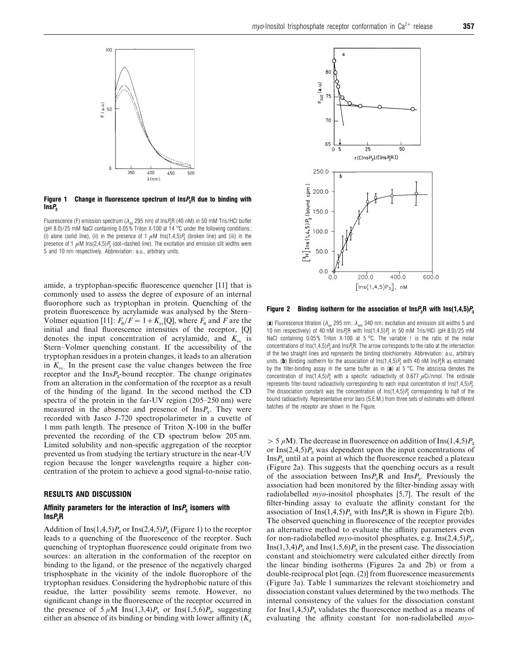

*Figure 1 Change in fluorescence spectrum of InsP3R due to binding with InsP<sup>3</sup>*

Fluorescence (F) emission spectrum ( $\lambda_{\alpha}$ , 295 nm) of Ins $P_3R$  (40 nM) in 50 mM Tris/HCl buffer (pH 8.0)/25 mM NaCl containing 0.05% Triton X-100 at 14 °C under the following conditions: (i) alone (solid line), (ii) in the presence of 1  $\mu$ M Ins(1,4,5) $P_3$  (broken line) and (iii) in the presence of 1  $\mu$ M Ins(2,4,5) $P_3$  (dot–dashed line). The excitation and emission slit widths were 5 and 10 nm respectively. Abbreviation: a.u., arbitrary units.

amide, a tryptophan-specific fluorescence quencher [11] that is commonly used to assess the degree of exposure of an internal fluorophore such as tryptophan in protein. Quenching of the protein fluorescence by acrylamide was analysed by the Stern– Volmer equation [11]:  $F_0/F = 1 + K_{sv}[Q]$ , where  $F_0$  and *F* are the initial and final fluorescence intensities of the receptor, [Q] denotes the input concentration of acrylamide, and  $K_{\rm sv}$  is Stern–Volmer quenching constant. If the accessibility of the tryptophan residues in a protein changes, it leads to an alteration in  $K_{\rm sv}$  In the present case the value changes between the free receptor and the  $\text{Ins}P_3$ -bound receptor. The change originates from an alteration in the conformation of the receptor as a result of the binding of the ligand. In the second method the CD spectra of the protein in the far-UV region (205–250 nm) were measured in the absence and presence of  $InsP<sub>3</sub>$ . They were recorded with Jasco J-720 spectropolarimeter in a cuvette of 1 mm path length. The presence of Triton X-100 in the buffer prevented the recording of the CD spectrum below 205 nm. Limited solubility and non-specific aggregation of the receptor prevented us from studying the tertiary structure in the near-UV region because the longer wavelengths require a higher concentration of the protein to achieve a good signal-to-noise ratio.

# *RESULTS AND DISCUSSION*

# *Affinity parameters for the interaction of InsP<sup>3</sup> isomers with InsP3R*

Addition of Ins $(1,4,5)P_3$  or Ins $(2,4,5)P_3$  (Figure 1) to the receptor leads to a quenching of the fluorescence of the receptor. Such quenching of tryptophan fluorescence could originate from two sources: an alteration in the conformation of the receptor on binding to the ligand, or the presence of the negatively charged trisphosphate in the vicinity of the indole fluorophore of the tryptophan residues. Considering the hydrophobic nature of this residue, the latter possibility seems remote. However, no significant change in the fluorescence of the receptor occurred in the presence of  $5 \mu M$  Ins(1,3,4)*P*<sub>3</sub> or Ins(1,5,6)*P*<sub>3</sub>, suggesting either an absence of its binding or binding with lower affinity  $(K_d)$ 



*Figure 2* Binding isotherm for the association of Ins $P_3R$  with Ins(1,4,5) $P_3$ 

(a) Fluorescence titration ( $\lambda_{ev}$  295 nm;  $\lambda_{em}$  340 nm; excitation and emission slit widths 5 and 10 nm respectively) of 40 nM Ins*P*3R with Ins(1,4,5)*P*<sup>3</sup> in 50 mM Tris/HCl (pH 8.0)/25 mM NaCl containing 0.05% Triton X-100 at 5 °C. The variable r is the ratio of the molar concentrations of Ins(1,4,5)*P*<sup>3</sup> and Ins*P*3R. The arrow corresponds to the ratio at the intersection of the two straight lines and represents the binding stoichiometry. Abbreviation: a.u., arbitrary units. (b) Binding isotherm for the association of  $\text{Ins}(1,4,5)P_3$  with 40 nM Ins $P_3R$  as estimated by the filter-binding assay in the same buffer as in (*a*) at 5 °C. The abscissa denotes the concentration of  $\text{Ins}(1,4,5)P_3$  with a specific radioactivity of 0.677  $\mu$ Ci/nmol. The ordinate represents filter-bound radioactivity corresponding to each input concentration of Ins(1,4,5)*P*3. The dissociation constant was the concentration of  $\text{Ins}(1,4,5)P_3$  corresponding to half of the bound radioactivity. Representative error bars (S.E.M.) from three sets of estimates with different batches of the receptor are shown in the Figure.

 $> 5 \mu M$ ). The decrease in fluorescence on addition of Ins(1,4,5) $P_3$ or Ins(2,4,5) $P_3$  was dependent upon the input concentrations of  $\text{Ins}P_3$  until at a point at which the fluorescence reached a plateau (Figure 2a). This suggests that the quenching occurs as a result of the association between  $\text{Ins}P_{\text{B}}R$  and  $\text{Ins}P_{\text{B}}$ . Previously the association had been monitored by the filter-binding assay with radiolabelled *myo*-inositol phosphates [5,7]. The result of the filter-binding assay to evaluate the affinity constant for the association of Ins $(1,4,5)P_3$  with Ins $P_3R$  is shown in Figure 2(b). The observed quenching in fluorescence of the receptor provides an alternative method to evaluate the affinity parameters even for non-radiolabelled  $myo$ -inositol phosphates, e.g. Ins $(2,4,5)P_s$ , Ins(1,3,4) $P_3$  and Ins(1,5,6) $P_3$  in the present case. The dissociation constant and stoichiometry were calculated either directly from the linear binding isotherms (Figures 2a and 2b) or from a double-reciprocal plot [eqn. (2)] from fluorescence measurements (Figure 3a). Table 1 summarizes the relevant stoichiometry and dissociation constant values determined by the two methods. The internal consistency of the values for the dissociation constant for Ins $(1,4,5)P_3$  validates the fluorescence method as a means of evaluating the affinity constant for non-radiolabelled *myo*-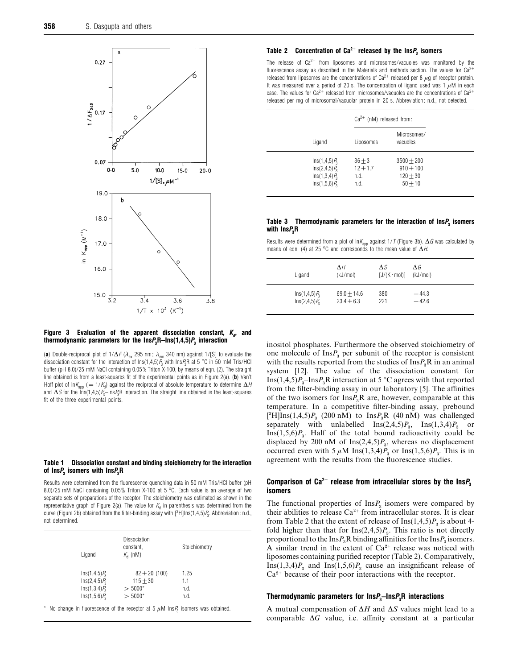

## *Figure* 3 Evaluation of the apparent dissociation constant,  $K_a$ , and *thermodynamic parameters for the InsP3R–Ins(1,4,5)P<sup>3</sup> interaction*

(a) Double-reciprocal plot of  $1/\Delta F$  ( $\lambda_{\text{ex}}$  295 nm;  $\lambda_{\text{em}}$  340 nm) against 1/[S] to evaluate the dissociation constant for the interaction of Ins(1,4,5)*P*<sup>3</sup> with Ins*P*3R at 5 °C in 50 mM Tris/HCl buffer (pH 8.0)/25 mM NaCl containing 0.05% Triton X-100, by means of eqn. (2). The straight line obtained is from a least-squares fit of the experimental points as in Figure 2(a). (*b*) Van't Hoff plot of ln $K_{\text{app}}$  (= 1/ $K_d$ ) against the reciprocal of absolute temperature to determine  $\Delta H$ and ∆*S* for the Ins(1,4,5)*P*3–Ins*P*3R interaction. The straight line obtained is the least-squares fit of the three experimental points.

#### *Table 1 Dissociation constant and binding stoichiometry for the interaction of InsP<sup>3</sup> isomers with InsP3R*

Results were determined from the fluorescence quenching data in 50 mM Tris/HCl buffer (pH 8.0)/25 mM NaCl containing 0.05% Triton X-100 at 5 °C. Each value is an average of two separate sets of preparations of the receptor. The stoichiometry was estimated as shown in the representative graph of Figure 2(a). The value for  $K_d$  in parenthesis was determined from the curve (Figure 2b) obtained from the filter-binding assay with  $[^3\mathrm{H}]$ Ins(1,4,5) $P_3$ . Abbreviation: n.d., not determined.

| Ligand            | Dissociation<br>constant,<br>$K_{d}$ (nM) | Stoichiometry |
|-------------------|-------------------------------------------|---------------|
| $Ins(1, 4, 5)P_3$ | $82 + 20(100)$                            | 1.25          |
| $Ins(2, 4, 5)P_3$ | $115 + 30$                                | 1.1           |
| $Ins(1,3,4)P_3$   | $> 5000*$                                 | n.d.          |
| $Ins(1,5,6)P_3$   | $> 5000*$                                 | n.d.          |

No change in fluorescence of the receptor at 5  $\mu$ M Ins $P_3$  isomers was obtained.

## *Table 2 Concentration of Ca2*<sup>+</sup> *released by the InsP<sup>3</sup> isomers*

The release of  $Ca^{2+}$  from liposomes and microsomes/vacuoles was monitored by the fluorescence assay as described in the Materials and methods section. The values for  $Ca^{2+}$ released from liposomes are the concentrations of  $Ca^{2+}$  released per 8  $\mu$ g of receptor protein. It was measured over a period of 20 s. The concentration of ligand used was 1  $\mu$ M in each case. The values for  $Ca^{2+}$  released from microsomes/vacuoles are the concentrations of  $Ca^{2+}$ released per mg of microsomal/vacuolar protein in 20 s. Abbreviation: n.d., not detected.

|                                                                              | $Ca^{2+}$ (nM) released from:          |                                                        |  |
|------------------------------------------------------------------------------|----------------------------------------|--------------------------------------------------------|--|
| Ligand                                                                       | Liposomes                              | Microsomes/<br>vacuoles                                |  |
| $Ins(1, 4, 5)P_3$<br>$Ins(2, 4, 5)P_3$<br>$Ins(1,3,4)P_3$<br>$Ins(1,5,6)P_3$ | $36 + 3$<br>$12 + 1.7$<br>n.d.<br>n.d. | $3500 + 200$<br>$910 + 100$<br>$120 + 30$<br>$50 + 10$ |  |

#### *Table 3 Thermodynamic parameters for the interaction of InsP<sup>3</sup> isomers with InsP3R*

Results were determined from a plot of lnK<sub>app</sub> against 1/*T* (Figure 3b). ∆*G* was calculated by means of eqn. (4) at 25 °C and corresponds to the mean value of ∆*H*.

| Ligand            | ΛH<br>(kJ/mol) | ΛS<br>$[J/(K \cdot mol)]$ | ΛG<br>(kJ/mol) |
|-------------------|----------------|---------------------------|----------------|
| $Ins(1, 4, 5)P_3$ | $69.0 + 14.6$  | 380                       | $-44.3$        |
| $Ins(2, 4, 5)P_3$ | $23.4 + 6.3$   | 221                       | $-42.6$        |

inositol phosphates. Furthermore the observed stoichiometry of one molecule of  $\text{Ins}P_3$  per subunit of the receptor is consistent with the results reported from the studies of  $\text{Ins} P_{\text{s}} R$  in an animal system [12]. The value of the dissociation constant for Ins $(1,4,5)P_{3}$ –Ins $P_{3}$ R interaction at 5 °C agrees with that reported from the filter-binding assay in our laboratory [5]. The affinities of the two isomers for  $InsP<sub>3</sub>R$  are, however, comparable at this temperature. In a competitive filter-binding assay, prebound temperature. In a competitive little-binding assay, prebound<br><sup>[3</sup>H]Ins(1,4,5)*P*<sub>3</sub> (200 nM) to Ins*P*<sub>3</sub>**R** (40 nM) was challenged separately with unlabelled  $\text{Ins}(2,4,5)P_3$ ,  $\text{Ins}(1,3,4)P_3$  or Ins $(1,5,6)P_3$ . Half of the total bound radioactivity could be displaced by 200 nM of  $Ins(2,4,5)P_3$ , whereas no displacement occurred even with 5  $\mu$ M Ins(1,3,4)*P*<sub>3</sub> or Ins(1,5,6)*P*<sub>3</sub>. This is in agreement with the results from the fluorescence studies.

# *Comparison of Ca2*+ *release from intracellular stores by the InsP<sup>3</sup> isomers*

The functional properties of  $InsP<sub>3</sub>$  isomers were compared by their abilities to release  $Ca^{2+}$  from intracellular stores. It is clear from Table 2 that the extent of release of  $\text{Ins}(1,4,5)P_3$  is about 4fold higher than that for  $\text{Ins}(2,4,5)P_{3}$ . This ratio is not directly proportional to the Ins $P_3$ R binding affinities for the Ins $P_3$  isomers. proportional to the ins $r_3$ **R** binding all intities for the ins $r_3$  isomers.<br>A similar trend in the extent of  $Ca^{2+}$  release was noticed with liposomes containing purified receptor (Table 2). Comparatively, Ins(1,3,4) $P_3$  and Ins(1,5,6) $P_3$  cause an insignificant release of  $Ca<sup>2+</sup>$  because of their poor interactions with the receptor.

#### *Thermodynamic parameters for InsP3–InsP3R interactions*

A mutual compensation of ∆*H* and ∆*S* values might lead to a comparable ∆*G* value, i.e. affinity constant at a particular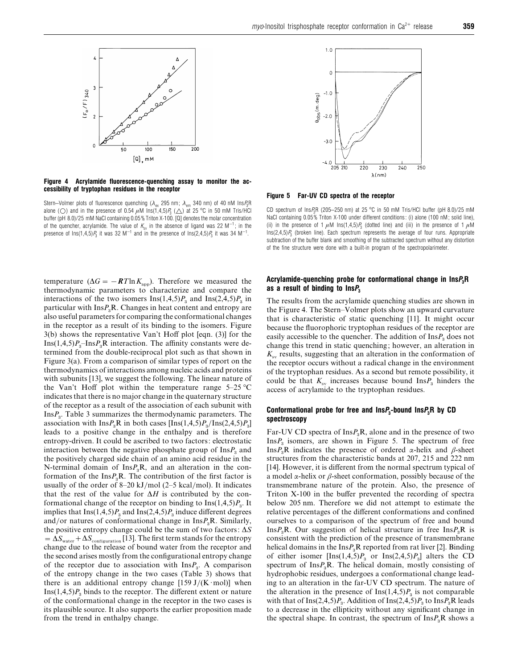

*Figure 4 Acrylamide fluorescence-quenching assay to monitor the accessibility of tryptophan residues in the receptor*



temperature ( $\Delta G = -\frac{RT \ln K_{\text{app}}}{R}$ ). Therefore we measured the thermodynamic parameters to characterize and compare the interactions of the two isomers  $\text{Ins}(1,4,5)P_3$  and  $\text{Ins}(2,4,5)P_3$  in particular with  $\text{Ins}P_{\text{3}}\text{R}$ . Changes in heat content and entropy are also useful parameters for comparing the conformational changes in the receptor as a result of its binding to the isomers. Figure 3(b) shows the representative Van't Hoff plot [eqn. (3)] for the  $\text{Ins}(1,4,5)P_{\text{a}}\text{-}\text{Ins}P_{\text{a}}\text{R}$  interaction. The affinity constants were de- termined from the double-reciprocal plot such as that shown in Figure 3(a). From a comparison of similar types of report on the thermodynamics of interactions among nucleic acids and proteins with subunits [13], we suggest the following. The linear nature of the Van't Hoff plot within the temperature range  $5-25$  °C indicates that there is no major change in the quaternary structure of the receptor as a result of the association of each subunit with  $\text{Ins}P_{\text{a}}$ . Table 3 summarizes the thermodynamic parameters. The association with  $\text{Ins}P_{\text{a}}R$  in both cases  $[\text{Ins}(1,4,5)P_{\text{a}}/\text{Ins}(2,4,5)P_{\text{a}}]$  leads to a positive change in the enthalpy and is therefore entropy-driven. It could be ascribed to two factors: electrostatic interaction between the negative phosphate group of  $\text{Ins} P_{3}$  and the positively charged side chain of an amino acid residue in the N-terminal domain of  $InsP<sub>3</sub>R$ , and an alteration in the conformation of the Ins $P_{\rm a}$ R. The contribution of the first factor is usually of the order of 8–20 kJ/mol  $(2–5 \text{ kcal/mol})$ . It indicates that the rest of the value for ∆*H* is contributed by the conformational change of the receptor on binding to  $\text{Ins}(1,4,5)P_{\text{a}}$ . It implies that  $\text{Ins}(1,4,5)P_{\text{a}}$  and  $\text{Ins}(2,4,5)P_{\text{a}}$  induce different degrees and/or natures of conformational change in  $\text{Ins}P_{\text{a}}\text{R}$ . Similarly, the positive entropy change could be the sum of two factors: ∆*S*  $=\Delta S_{\text{water}} + \Delta S_{\text{configuration}}$  [13]. The first term stands for the entropy change due to the release of bound water from the receptor and the second arises mostly from the configurational entropy change of the receptor due to association with  $InsP<sub>3</sub>$ . A comparison of the entropy change in the two cases (Table 3) shows that there is an additional entropy change  $[159 J/(K \cdot mol)]$  when Ins $(1,4,5)P_3$  binds to the receptor. The different extent or nature of the conformational change in the receptor in the two cases is its plausible source. It also supports the earlier proposition made from the trend in enthalpy change.



*Figure 5 Far-UV CD spectra of the receptor*

CD spectrum of Ins*P*3R (205–250 nm) at 25 °C in 50 mM Tris/HCl buffer (pH 8.0)/25 mM NaCl containing 0.05% Triton X-100 under different conditions: (i) alone (100 nM; solid line), (ii) in the presence of 1  $\mu$ M Ins(1,4,5) $P_3$  (dotted line) and (iii) in the presence of 1  $\mu$ M Ins(2,4,5)*P*<sup>3</sup> (broken line). Each spectrum represents the average of four runs. Appropriate subtraction of the buffer blank and smoothing of the subtracted spectrum without any distortion of the fine structure were done with a built-in program of the spectropolarimeter.

# *Acrylamide-quenching probe for conformational change in InsP3R as a result of binding to InsP<sup>3</sup>*

The results from the acrylamide quenching studies are shown in the Figure 4. The Stern–Volmer plots show an upward curvature that is characteristic of static quenching [11]. It might occur because the fluorophoric tryptophan residues of the receptor are easily accessible to the quencher. The addition of  $\text{Ins}P_3$  does not change this trend in static quenching; however, an alteration in  $K<sub>em</sub>$  results, suggesting that an alteration in the conformation of the receptor occurs without a radical change in the environment of the tryptophan residues. As a second but remote possibility, it could be that  $K_{\rm sv}$  increases because bound  $\text{Ins } P_3$  hinders the access of acrylamide to the tryptophan residues.

# *Conformational probe for free and InsP3-bound InsP3R by CD spectroscopy*

Far-UV CD spectra of  $\text{Ins}P_{\text{B}}\text{R}$ , alone and in the presence of two  $InsP<sub>3</sub>$  isomers, are shown in Figure 5. The spectrum of free Ins $P_3$ R indicates the presence of ordered α-helix and  $\beta$ -sheet structures from the characteristic bands at 207, 215 and 222 nm [14]. However, it is different from the normal spectrum typical of a model  $\alpha$ -helix or  $\beta$ -sheet conformation, possibly because of the transmembrane nature of the protein. Also, the presence of Triton X-100 in the buffer prevented the recording of spectra below 205 nm. Therefore we did not attempt to estimate the relative percentages of the different conformations and confined ourselves to a comparison of the spectrum of free and bound Ins $P_3$ **R**. Our suggestion of helical structure in free Ins $P_3$ **R** is consistent with the prediction of the presence of transmembrane helical domains in the  $InsP<sub>3</sub>R$  reported from rat liver [2]. Binding of either isomer  $[\text{Ins}(1,4,5)P_3$  or  $\text{Ins}(2,4,5)P_3]$  alters the CD spectrum of  $InsP<sub>3</sub>R$ . The helical domain, mostly consisting of hydrophobic residues, undergoes a conformational change leading to an alteration in the far-UV CD spectrum. The nature of the alteration in the presence of  $\text{Ins}(1,4,5)P_3$  is not comparable with that of Ins(2,4,5) $P_a$ . Addition of Ins(2,4,5) $P_a$  to Ins $P_a$ R leads to a decrease in the ellipticity without any significant change in the spectral shape. In contrast, the spectrum of  $\text{Ins}P_{\text{B}}R$  shows a